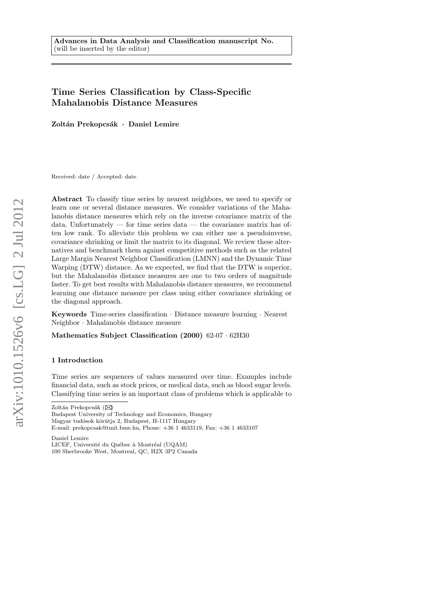# Time Series Classification by Class-Specific Mahalanobis Distance Measures

Zoltán Prekopcsák · Daniel Lemire

Received: date / Accepted: date

Abstract To classify time series by nearest neighbors, we need to specify or learn one or several distance measures. We consider variations of the Mahalanobis distance measures which rely on the inverse covariance matrix of the data. Unfortunately  $-$  for time series data  $-$  the covariance matrix has often low rank. To alleviate this problem we can either use a pseudoinverse, covariance shrinking or limit the matrix to its diagonal. We review these alternatives and benchmark them against competitive methods such as the related Large Margin Nearest Neighbor Classification (LMNN) and the Dynamic Time Warping (DTW) distance. As we expected, we find that the DTW is superior, but the Mahalanobis distance measures are one to two orders of magnitude faster. To get best results with Mahalanobis distance measures, we recommend learning one distance measure per class using either covariance shrinking or the diagonal approach.

Keywords Time-series classification · Distance measure learning · Nearest Neighbor · Mahalanobis distance measure

Mathematics Subject Classification (2000) 62-07 · 62H30

# 1 Introduction

Time series are sequences of values measured over time. Examples include financial data, such as stock prices, or medical data, such as blood sugar levels. Classifying time series is an important class of problems which is applicable to

Zoltán Prekopcsák ( $\boxtimes$ 

Daniel Lemire LICEF, Université du Québec à Montréal (UQAM) 100 Sherbrooke West, Montreal, QC, H2X 3P2 Canada

Budapest University of Technology and Economics, Hungary Magyar tudósok körútja 2, Budapest, H-1117 Hungary E-mail: prekopcsak@tmit.bme.hu, Phone: +36 1 4633119, Fax: +36 1 4633107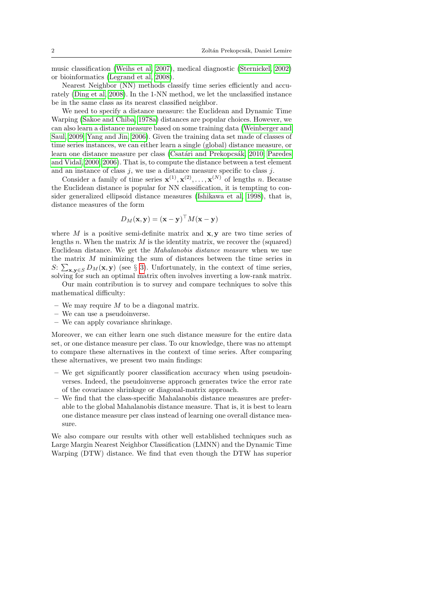music classification [\(Weihs et al, 2007\)](#page-14-0), medical diagnostic [\(Sternickel, 2002\)](#page-14-1) or bioinformatics [\(Legrand et al, 2008\)](#page-13-0).

Nearest Neighbor (NN) methods classify time series efficiently and accurately [\(Ding et al, 2008\)](#page-13-1). In the 1-NN method, we let the unclassified instance be in the same class as its nearest classified neighbor.

We need to specify a distance measure: the Euclidean and Dynamic Time Warping [\(Sakoe and Chiba, 1978a\)](#page-14-2) distances are popular choices. However, we can also learn a distance measure based on some training data [\(Weinberger and](#page-14-3) [Saul, 2009;](#page-14-3) [Yang and Jin, 2006\)](#page-14-4). Given the training data set made of classes of time series instances, we can either learn a single (global) distance measure, or learn one distance measure per class (Csatári and Prekopcsák, 2010; [Paredes](#page-13-3) [and Vidal, 2000,](#page-13-3) [2006\)](#page-13-4). That is, to compute the distance between a test element and an instance of class  $j$ , we use a distance measure specific to class  $j$ .

Consider a family of time series  $\mathbf{x}^{(1)}, \mathbf{x}^{(2)}, \ldots, \mathbf{x}^{(N)}$  of lengths n. Because the Euclidean distance is popular for NN classification, it is tempting to consider generalized ellipsoid distance measures [\(Ishikawa et al, 1998\)](#page-13-5), that is, distance measures of the form

$$
D_M(\mathbf{x}, \mathbf{y}) = (\mathbf{x} - \mathbf{y})^\top M(\mathbf{x} - \mathbf{y})
$$

where M is a positive semi-definite matrix and  $x, y$  are two time series of lengths n. When the matrix  $M$  is the identity matrix, we recover the (squared) Euclidean distance. We get the Mahalanobis distance measure when we use the matrix M minimizing the sum of distances between the time series in S:  $\sum_{\mathbf{x},\mathbf{y}\in S} D_M(\mathbf{x},\mathbf{y})$  (see § [3\)](#page-4-0). Unfortunately, in the context of time series, solving for such an optimal matrix often involves inverting a low-rank matrix.

Our main contribution is to survey and compare techniques to solve this mathematical difficulty:

- We may require  $M$  to be a diagonal matrix.
- We can use a pseudoinverse.
- We can apply covariance shrinkage.

Moreover, we can either learn one such distance measure for the entire data set, or one distance measure per class. To our knowledge, there was no attempt to compare these alternatives in the context of time series. After comparing these alternatives, we present two main findings:

- We get significantly poorer classification accuracy when using pseudoinverses. Indeed, the pseudoinverse approach generates twice the error rate of the covariance shrinkage or diagonal-matrix approach.
- We find that the class-specific Mahalanobis distance measures are preferable to the global Mahalanobis distance measure. That is, it is best to learn one distance measure per class instead of learning one overall distance measure.

We also compare our results with other well established techniques such as Large Margin Nearest Neighbor Classification (LMNN) and the Dynamic Time Warping (DTW) distance. We find that even though the DTW has superior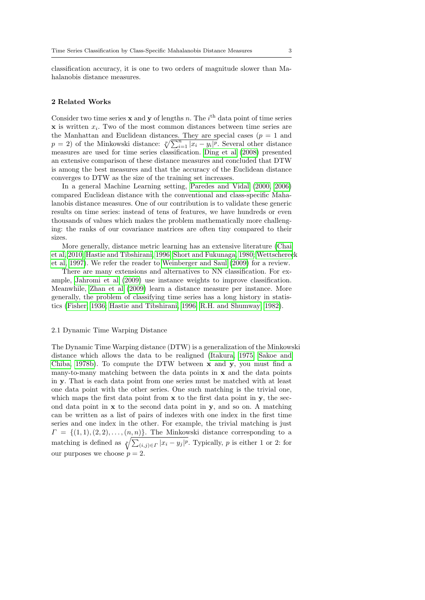classification accuracy, it is one to two orders of magnitude slower than Mahalanobis distance measures.

# 2 Related Works

Consider two time series  $x$  and  $y$  of lengths n. The i<sup>th</sup> data point of time series  $x$  is written  $x_i$ . Two of the most common distances between time series are the Manhattan and Euclidean distances. They are special cases  $(p = 1$  and  $p = 2$ ) of the Minkowski distance:  $\sqrt[p]{\sum_{i=1}^{n} |x_i - y_i|^p}$ . Several other distance measures are used for time series classification. [Ding et al](#page-13-1) [\(2008\)](#page-13-1) presented an extensive comparison of these distance measures and concluded that DTW is among the best measures and that the accuracy of the Euclidean distance converges to DTW as the size of the training set increases.

In a general Machine Learning setting, [Paredes and Vidal](#page-13-3) [\(2000,](#page-13-3) [2006\)](#page-13-4) compared Euclidean distance with the conventional and class-specific Mahalanobis distance measures. One of our contribution is to validate these generic results on time series: instead of tens of features, we have hundreds or even thousands of values which makes the problem mathematically more challenging: the ranks of our covariance matrices are often tiny compared to their sizes.

More generally, distance metric learning has an extensive literature [\(Chai](#page-12-0) [et al, 2010;](#page-12-0) [Hastie and Tibshirani, 1996;](#page-13-6) [Short and Fukunaga, 1980;](#page-14-5) [Wettscherec](#page-14-6)k [et al, 1997\)](#page-14-6). We refer the reader to [Weinberger and Saul](#page-14-3) [\(2009\)](#page-14-3) for a review.

There are many extensions and alternatives to NN classification. For example, [Jahromi et al](#page-13-7) [\(2009\)](#page-13-7) use instance weights to improve classification. Meanwhile, [Zhan et al](#page-14-7) [\(2009\)](#page-14-7) learn a distance measure per instance. More generally, the problem of classifying time series has a long history in statistics [\(Fisher, 1936;](#page-13-8) [Hastie and Tibshirani, 1996;](#page-13-6) [R.H. and Shumway, 1982\)](#page-14-8).

# 2.1 Dynamic Time Warping Distance

The Dynamic Time Warping distance (DTW) is a generalization of the Minkowski distance which allows the data to be realigned [\(Itakura, 1975;](#page-13-9) [Sakoe and](#page-14-9) [Chiba, 1978b\)](#page-14-9). To compute the DTW between x and y, you must find a many-to-many matching between the data points in  $x$  and the data points in y. That is each data point from one series must be matched with at least one data point with the other series. One such matching is the trivial one, which maps the first data point from  $x$  to the first data point in  $y$ , the second data point in  $x$  to the second data point in  $y$ , and so on. A matching can be written as a list of pairs of indexes with one index in the first time series and one index in the other. For example, the trivial matching is just  $\Gamma = \{(1,1), (2, 2), \ldots, (n, n)\}.$  The Minkowski distance corresponding to a matching is defined as  $\sqrt[p]{\sum_{(i,j)\in\Gamma}|x_i-y_j|^p}$ . Typically, p is either 1 or 2: for our purposes we choose  $p = 2$ .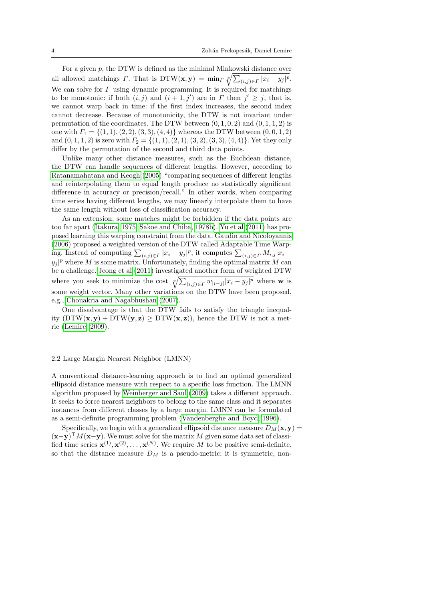For a given  $p$ , the DTW is defined as the minimal Minkowski distance over all allowed matchings  $\Gamma$ . That is DTW(**x**, **y**) =  $\min_{\Gamma} \sqrt[p]{\sum_{(i,j)\in\Gamma} |x_i - y_j|^p}$ . We can solve for  $\Gamma$  using dynamic programming. It is required for matchings to be monotonic: if both  $(i, j)$  and  $(i + 1, j')$  are in  $\Gamma$  then  $j' \geq j$ , that is, we cannot warp back in time: if the first index increases, the second index cannot decrease. Because of monotonicity, the DTW is not invariant under permutation of the coordinates. The DTW between  $(0, 1, 0, 2)$  and  $(0, 1, 1, 2)$  is one with  $\Gamma_1 = \{(1, 1), (2, 2), (3, 3), (4, 4)\}\$  whereas the DTW between  $(0, 0, 1, 2)$ and  $(0, 1, 1, 2)$  is zero with  $\Gamma_2 = \{(1, 1), (2, 1), (3, 2), (3, 3), (4, 4)\}$ . Yet they only differ by the permutation of the second and third data points.

Unlike many other distance measures, such as the Euclidean distance, the DTW can handle sequences of different lengths. However, according to [Ratanamahatana and Keogh](#page-14-10) [\(2005\)](#page-14-10) "comparing sequences of different lengths and reinterpolating them to equal length produce no statistically significant difference in accuracy or precision/recall." In other words, when comparing time series having different lengths, we may linearly interpolate them to have the same length without loss of classification accuracy.

As an extension, some matches might be forbidden if the data points are too far apart [\(Itakura, 1975;](#page-13-9) [Sakoe and Chiba, 1978b\)](#page-14-9). [Yu et al](#page-14-11) [\(2011\)](#page-14-11) has proposed learning this warping constraint from the data. [Gaudin and Nicoloyannis](#page-13-10) [\(2006\)](#page-13-10) proposed a weighted version of the DTW called Adaptable Time Warping. Instead of computing  $\sum_{(i,j)\in\Gamma}|x_i-y_j|^p$ , it computes  $\sum_{(i,j)\in\Gamma}M_{i,j}|x_i-\Gamma|$  $y_j|^p$  where M is some matrix. Unfortunately, finding the optimal matrix M can be a challenge. [Jeong et al](#page-13-11) [\(2011\)](#page-13-11) investigated another form of weighted DTW where you seek to minimize the cost  $\sqrt[p]{\sum_{(i,j)\in\Gamma} w_{|i-j|}|x_i - y_j|^p}$  where w is some weight vector. Many other variations on the DTW have been proposed, e.g., [Chouakria and Nagabhushan](#page-13-12) [\(2007\)](#page-13-12).

One disadvantage is that the DTW fails to satisfy the triangle inequality  $(DTW(\mathbf{x}, \mathbf{y}) + DTW(\mathbf{y}, \mathbf{z}) \geq DTW(\mathbf{x}, \mathbf{z})$ , hence the DTW is not a metric [\(Lemire, 2009\)](#page-13-13).

# 2.2 Large Margin Nearest Neighbor (LMNN)

A conventional distance-learning approach is to find an optimal generalized ellipsoid distance measure with respect to a specific loss function. The LMNN algorithm proposed by [Weinberger and Saul](#page-14-3) [\(2009\)](#page-14-3) takes a different approach. It seeks to force nearest neighbors to belong to the same class and it separates instances from different classes by a large margin. LMNN can be formulated as a semi-definite programming problem [\(Vandenberghe and Boyd, 1996\)](#page-14-12).

Specifically, we begin with a generalized ellipsoid distance measure  $D_M(\mathbf{x}, \mathbf{y}) =$  $(\mathbf{x}-\mathbf{y})^{\top} M(\mathbf{x}-\mathbf{y})$ . We must solve for the matrix M given some data set of classified time series  $\mathbf{x}^{(1)}, \mathbf{x}^{(2)}, \ldots, \mathbf{x}^{(N)}$ . We require M to be positive semi-definite, so that the distance measure  $D_M$  is a pseudo-metric: it is symmetric, non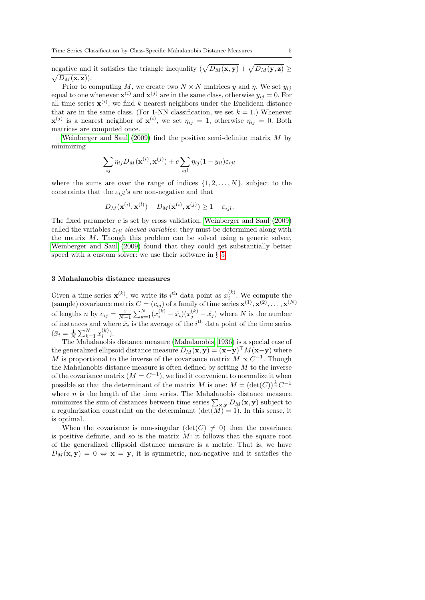negative and it satisfies the triangle inequality  $(\sqrt{D_M(x, y)} + \sqrt{D_M(y, z)} \geq$  $\sqrt{D_M({\bf x},{\bf z})}$ ).

Prior to computing M, we create two  $N \times N$  matrices y and  $\eta$ . We set  $y_{ij}$ equal to one whenever  $\mathbf{x}^{(i)}$  and  $\mathbf{x}^{(j)}$  are in the same class, otherwise  $y_{ij} = 0$ . For all time series  $\mathbf{x}^{(i)}$ , we find k nearest neighbors under the Euclidean distance that are in the same class. (For 1-NN classification, we set  $k = 1$ .) Whenever  $\mathbf{x}^{(j)}$  is a nearest neighbor of  $\mathbf{x}^{(i)}$ , we set  $\eta_{ij} = 1$ , otherwise  $\eta_{ij} = 0$ . Both matrices are computed once.

[Weinberger and Saul](#page-14-3)  $(2009)$  find the positive semi-definite matrix M by minimizing

$$
\sum_{ij} \eta_{ij} D_M(\mathbf{x}^{(i)}, \mathbf{x}^{(j)}) + c \sum_{ijl} \eta_{ij} (1 - y_{il}) \varepsilon_{ijl}
$$

where the sums are over the range of indices  $\{1, 2, \ldots, N\}$ , subject to the constraints that the  $\varepsilon_{ijl}$ 's are non-negative and that

$$
D_M(\mathbf{x}^{(i)}, \mathbf{x}^{(l)}) - D_M(\mathbf{x}^{(i)}, \mathbf{x}^{(j)}) \ge 1 - \varepsilon_{ijl}.
$$

The fixed parameter  $c$  is set by cross validation. [Weinberger and Saul](#page-14-3)  $(2009)$ called the variables  $\varepsilon_{ijl}$  slacked variables: they must be determined along with the matrix  $M$ . Though this problem can be solved using a generic solver, [Weinberger and Saul](#page-14-3) [\(2009\)](#page-14-3) found that they could get substantially better speed with a custom solver: we use their software in § [5.](#page-8-0)

# <span id="page-4-0"></span>3 Mahalanobis distance measures

Given a time series  $\mathbf{x}^{(k)}$ , we write its *i*<sup>th</sup> data point as  $x_i^{(k)}$ . We compute the (sample) covariance matrix  $C = (c_{ij})$  of a family of time series  $\mathbf{x}^{(1)}, \mathbf{x}^{(2)}, \dots, \mathbf{x}^{(N)}$ of lengths *n* by  $c_{ij} = \frac{1}{N-1} \sum_{k=1}^{N} (x_i^{(k)} - \bar{x}_i)(x_j^{(k)} - \bar{x}_j)$  where *N* is the number of instances and where  $\bar{x}_i$  is the average of the i<sup>th</sup> data point of the time series  $(\bar{x}_i = \frac{1}{N} \sum_{k=1}^{N} x_i^{(k)}).$ 

The Mahalanobis distance measure [\(Mahalanobis, 1936\)](#page-13-14) is a special case of the generalized ellipsoid distance measure  $D_M(\mathbf{x}, \mathbf{y}) = (\mathbf{x}-\mathbf{y})^\top M (\mathbf{x}-\mathbf{y})$  where M is proportional to the inverse of the covariance matrix  $M \propto C^{-1}$ . Though the Mahalanobis distance measure is often defined by setting  $M$  to the inverse of the covariance matrix  $(M = C^{-1})$ , we find it convenient to normalize it when possible so that the determinant of the matrix M is one:  $M = (\det(C))^{\frac{1}{n}}C^{-1}$ where  $n$  is the length of the time series. The Mahalanobis distance measure minimizes the sum of distances between time series  $\sum_{\mathbf{x},\mathbf{y}} D_M(\mathbf{x}, \mathbf{y})$  subject to a regularization constraint on the determinant  $(\det(M) = 1)$ . In this sense, it is optimal.

When the covariance is non-singular  $(\det(C) \neq 0)$  then the covariance is positive definite, and so is the matrix  $M$ : it follows that the square root of the generalized ellipsoid distance measure is a metric. That is, we have  $D_M(\mathbf{x}, \mathbf{y}) = 0 \Leftrightarrow \mathbf{x} = \mathbf{y}$ , it is symmetric, non-negative and it satisfies the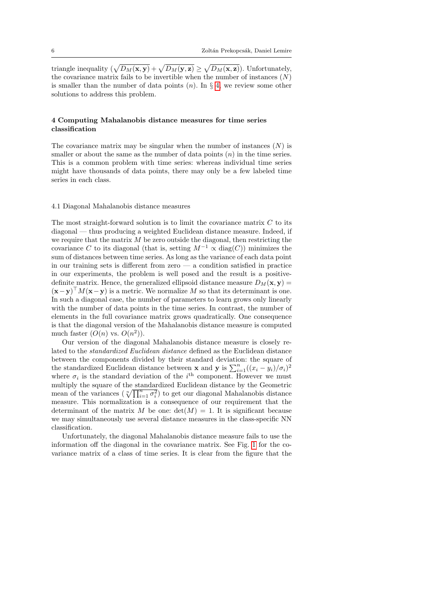triangle inequality  $(\sqrt{D_M(x, y)} + \sqrt{D_M(y, z)} \ge \sqrt{D_M(x, z)}$ . Unfortunately, the covariance matrix fails to be invertible when the number of instances  $(N)$ is smaller than the number of data points  $(n)$ . In  $\S 4$ , we review some other solutions to address this problem.

# <span id="page-5-0"></span>4 Computing Mahalanobis distance measures for time series classification

The covariance matrix may be singular when the number of instances  $(N)$  is smaller or about the same as the number of data points  $(n)$  in the time series. This is a common problem with time series: whereas individual time series might have thousands of data points, there may only be a few labeled time series in each class.

# 4.1 Diagonal Mahalanobis distance measures

The most straight-forward solution is to limit the covariance matrix  $C$  to its diagonal — thus producing a weighted Euclidean distance measure. Indeed, if we require that the matrix  $M$  be zero outside the diagonal, then restricting the covariance C to its diagonal (that is, setting  $M^{-1} \propto diag(C)$ ) minimizes the sum of distances between time series. As long as the variance of each data point in our training sets is different from zero  $\overline{a}$  a condition satisfied in practice in our experiments, the problem is well posed and the result is a positivedefinite matrix. Hence, the generalized ellipsoid distance measure  $D_M(\mathbf{x}, \mathbf{y}) =$  $(\mathbf{x}-\mathbf{y})^{\top}M(\mathbf{x}-\mathbf{y})$  is a metric. We normalize M so that its determinant is one. In such a diagonal case, the number of parameters to learn grows only linearly with the number of data points in the time series. In contrast, the number of elements in the full covariance matrix grows quadratically. One consequence is that the diagonal version of the Mahalanobis distance measure is computed much faster  $(O(n)$  vs.  $O(n^2))$ .

Our version of the diagonal Mahalanobis distance measure is closely related to the standardized Euclidean distance defined as the Euclidean distance between the components divided by their standard deviation: the square of the standardized Euclidean distance between **x** and **y** is  $\sum_{i=1}^{n} ((x_i - y_i)/\sigma_i)^2$ where  $\sigma_i$  is the standard deviation of the i<sup>th</sup> component. However we must multiply the square of the standardized Euclidean distance by the Geometric mean of the variances  $(\sqrt[n]{\prod_{i=1}^n \sigma_i^2})$  to get our diagonal Mahalanobis distance measure. This normalization is a consequence of our requirement that the determinant of the matrix M be one:  $det(M) = 1$ . It is significant because we may simultaneously use several distance measures in the class-specific NN classification.

Unfortunately, the diagonal Mahalanobis distance measure fails to use the information off the diagonal in the covariance matrix. See Fig. [1](#page-6-0) for the covariance matrix of a class of time series. It is clear from the figure that the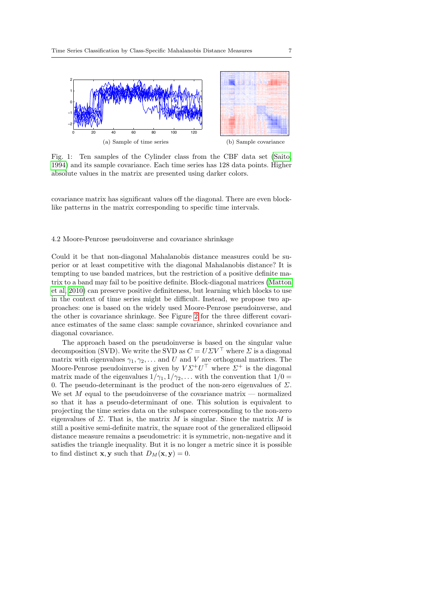<span id="page-6-0"></span>

Fig. 1: Ten samples of the Cylinder class from the CBF data set [\(Saito,](#page-14-13) [1994\)](#page-14-13) and its sample covariance. Each time series has 128 data points. Higher absolute values in the matrix are presented using darker colors.

covariance matrix has significant values off the diagonal. There are even blocklike patterns in the matrix corresponding to specific time intervals.

# 4.2 Moore-Penrose pseudoinverse and covariance shrinkage

Could it be that non-diagonal Mahalanobis distance measures could be superior or at least competitive with the diagonal Mahalanobis distance? It is tempting to use banded matrices, but the restriction of a positive definite matrix to a band may fail to be positive definite. Block-diagonal matrices [\(Matton](#page-13-15) [et al, 2010\)](#page-13-15) can preserve positive definiteness, but learning which blocks to use in the context of time series might be difficult. Instead, we propose two approaches: one is based on the widely used Moore-Penrose pseudoinverse, and the other is covariance shrinkage. See Figure [2](#page-7-0) for the three different covariance estimates of the same class: sample covariance, shrinked covariance and diagonal covariance.

The approach based on the pseudoinverse is based on the singular value decomposition (SVD). We write the SVD as  $C = U \Sigma V^{\top}$  where  $\Sigma$  is a diagonal matrix with eigenvalues  $\gamma_1, \gamma_2, \ldots$  and U and V are orthogonal matrices. The Moore-Penrose pseudoinverse is given by  $V\Sigma^+U^\top$  where  $\Sigma^+$  is the diagonal matrix made of the eigenvalues  $1/\gamma_1, 1/\gamma_2, \ldots$  with the convention that  $1/0 =$ 0. The pseudo-determinant is the product of the non-zero eigenvalues of  $\Sigma$ . We set  $M$  equal to the pseudoinverse of the covariance matrix — normalized so that it has a pseudo-determinant of one. This solution is equivalent to projecting the time series data on the subspace corresponding to the non-zero eigenvalues of  $\Sigma$ . That is, the matrix M is singular. Since the matrix M is still a positive semi-definite matrix, the square root of the generalized ellipsoid distance measure remains a pseudometric: it is symmetric, non-negative and it satisfies the triangle inequality. But it is no longer a metric since it is possible to find distinct **x**, **y** such that  $D_M(\mathbf{x}, \mathbf{y}) = 0$ .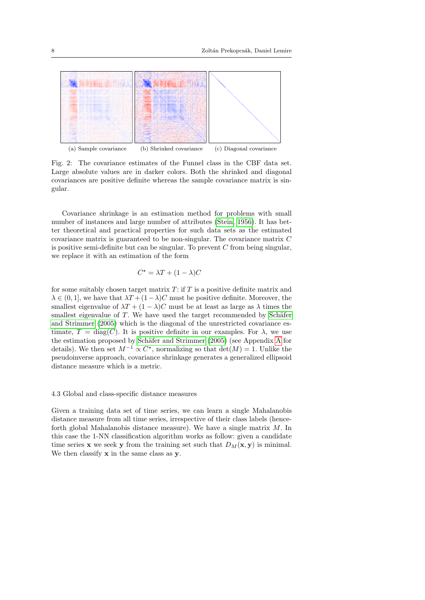<span id="page-7-0"></span>

Fig. 2: The covariance estimates of the Funnel class in the CBF data set. Large absolute values are in darker colors. Both the shrinked and diagonal covariances are positive definite whereas the sample covariance matrix is singular.

Covariance shrinkage is an estimation method for problems with small number of instances and large number of attributes [\(Stein, 1956\)](#page-14-14). It has better theoretical and practical properties for such data sets as the estimated covariance matrix is guaranteed to be non-singular. The covariance matrix C is positive semi-definite but can be singular. To prevent  $C$  from being singular, we replace it with an estimation of the form

$$
C^* = \lambda T + (1 - \lambda)C
$$

for some suitably chosen target matrix  $T$ : if  $T$  is a positive definite matrix and  $\lambda \in (0, 1]$ , we have that  $\lambda T + (1 - \lambda)C$  must be positive definite. Moreover, the smallest eigenvalue of  $\lambda T + (1 - \lambda)C$  must be at least as large as  $\lambda$  times the smallest eigenvalue of  $T$ . We have used the target recommended by Schäfer [and Strimmer](#page-14-15) [\(2005\)](#page-14-15) which is the diagonal of the unrestricted covariance estimate,  $T = diag(C)$ . It is positive definite in our examples. For  $\lambda$ , we use the estimation proposed by Schäfer and Strimmer  $(2005)$  (see [A](#page-15-0)ppendix A for details). We then set  $M^{-1} \propto C^*$ , normalizing so that  $\det(M) = 1$ . Unlike the pseudoinverse approach, covariance shrinkage generates a generalized ellipsoid distance measure which is a metric.

# 4.3 Global and class-specific distance measures

Given a training data set of time series, we can learn a single Mahalanobis distance measure from all time series, irrespective of their class labels (henceforth global Mahalanobis distance measure). We have a single matrix M. In this case the 1-NN classification algorithm works as follow: given a candidate time series **x** we seek **y** from the training set such that  $D_M(\mathbf{x}, \mathbf{y})$  is minimal. We then classify  $x$  in the same class as  $y$ .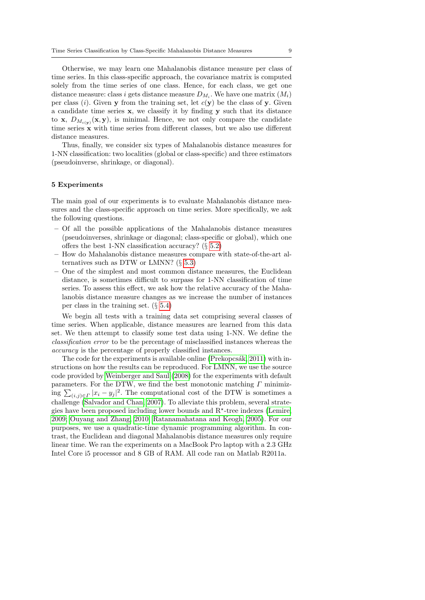Otherwise, we may learn one Mahalanobis distance measure per class of time series. In this class-specific approach, the covariance matrix is computed solely from the time series of one class. Hence, for each class, we get one distance measure: class i gets distance measure  $D_{M_i}$ . We have one matrix  $(M_i)$ per class (i). Given y from the training set, let  $c(y)$  be the class of y. Given a candidate time series x, we classify it by finding y such that its distance to **x**,  $D_{M_c(y)}(x, y)$ , is minimal. Hence, we not only compare the candidate time series x with time series from different classes, but we also use different distance measures.

Thus, finally, we consider six types of Mahalanobis distance measures for 1-NN classification: two localities (global or class-specific) and three estimators (pseudoinverse, shrinkage, or diagonal).

#### <span id="page-8-0"></span>5 Experiments

The main goal of our experiments is to evaluate Mahalanobis distance measures and the class-specific approach on time series. More specifically, we ask the following questions.

- Of all the possible applications of the Mahalanobis distance measures (pseudoinverses, shrinkage or diagonal; class-specific or global), which one offers the best 1-NN classification accuracy? (§ [5.2\)](#page-9-0)
- How do Mahalanobis distance measures compare with state-of-the-art alternatives such as DTW or LMNN?  $(\S 5.3)$  $(\S 5.3)$
- One of the simplest and most common distance measures, the Euclidean distance, is sometimes difficult to surpass for 1-NN classification of time series. To assess this effect, we ask how the relative accuracy of the Mahalanobis distance measure changes as we increase the number of instances per class in the training set.  $(\S 5.4)$  $(\S 5.4)$

We begin all tests with a training data set comprising several classes of time series. When applicable, distance measures are learned from this data set. We then attempt to classify some test data using 1-NN. We define the classification error to be the percentage of misclassified instances whereas the accuracy is the percentage of properly classified instances.

The code for the experiments is available online (Prekopcsák, 2011) with instructions on how the results can be reproduced. For LMNN, we use the source code provided by [Weinberger and Saul](#page-14-17) [\(2008\)](#page-14-17) for the experiments with default parameters. For the DTW, we find the best monotonic matching  $\Gamma$  minimizing  $\sum_{(i,j)\in\Gamma} |x_i - y_j|^2$ . The computational cost of the DTW is sometimes a challenge [\(Salvador and Chan, 2007\)](#page-14-18). To alleviate this problem, several strategies have been proposed including lower bounds and R? -tree indexes [\(Lemire,](#page-13-13) [2009;](#page-13-13) [Ouyang and Zhang, 2010;](#page-13-16) [Ratanamahatana and Keogh, 2005\)](#page-14-10). For our purposes, we use a quadratic-time dynamic programming algorithm. In contrast, the Euclidean and diagonal Mahalanobis distance measures only require linear time. We ran the experiments on a MacBook Pro laptop with a 2.3 GHz Intel Core i5 processor and 8 GB of RAM. All code ran on Matlab R2011a.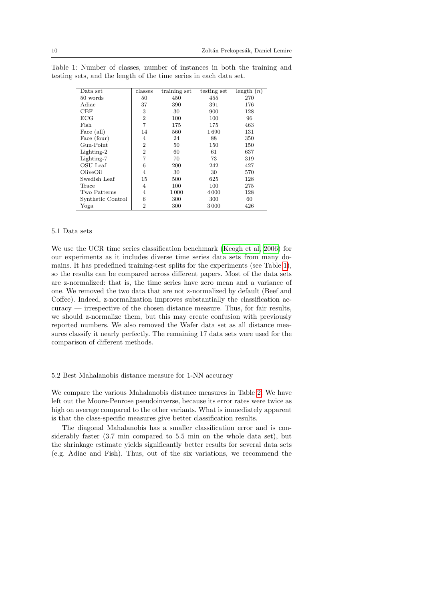| Data set          | classes        | training set | testing set | length $(n)$ |
|-------------------|----------------|--------------|-------------|--------------|
| 50 words          | 50             | 450          | 455         | 270          |
| Adiac             | 37             | 390          | 391         | 176          |
| CBF               | 3              | 30           | 900         | 128          |
| ECG               | $\overline{2}$ | 100          | 100         | 96           |
| Fish              | 7              | 175          | 175         | 463          |
| Face (all)        | 14             | 560          | 1690        | 131          |
| Face (four)       | 4              | 24           | 88          | 350          |
| Gun-Point         | $\overline{2}$ | 50           | 150         | 150          |
| Lighting-2        | $\overline{2}$ | 60           | 61          | 637          |
| Lighting-7        | 7              | 70           | 73          | 319          |
| OSU Leaf          | 6              | 200          | 242         | 427          |
| OliveOil          | 4              | 30           | 30          | 570          |
| Swedish Leaf      | 15             | 500          | 625         | 128          |
| Trace             | 4              | 100          | 100         | 275          |
| Two Patterns      | 4              | 1000         | 4000        | 128          |
| Synthetic Control | 6              | 300          | 300         | 60           |
| Yoga              | $\overline{2}$ | 300          | 3000        | 426          |

<span id="page-9-1"></span>Table 1: Number of classes, number of instances in both the training and testing sets, and the length of the time series in each data set.

#### 5.1 Data sets

We use the UCR time series classification benchmark [\(Keogh et al, 2006\)](#page-13-17) for our experiments as it includes diverse time series data sets from many domains. It has predefined training-test splits for the experiments (see Table [1\)](#page-9-1), so the results can be compared across different papers. Most of the data sets are z-normalized: that is, the time series have zero mean and a variance of one. We removed the two data that are not z-normalized by default (Beef and Coffee). Indeed, z-normalization improves substantially the classification accuracy — irrespective of the chosen distance measure. Thus, for fair results, we should z-normalize them, but this may create confusion with previously reported numbers. We also removed the Wafer data set as all distance measures classify it nearly perfectly. The remaining 17 data sets were used for the comparison of different methods.

#### <span id="page-9-0"></span>5.2 Best Mahalanobis distance measure for 1-NN accuracy

We compare the various Mahalanobis distance measures in Table [2.](#page-10-1) We have left out the Moore-Penrose pseudoinverse, because its error rates were twice as high on average compared to the other variants. What is immediately apparent is that the class-specific measures give better classification results.

The diagonal Mahalanobis has a smaller classification error and is considerably faster (3.7 min compared to 5.5 min on the whole data set), but the shrinkage estimate yields significantly better results for several data sets (e.g. Adiac and Fish). Thus, out of the six variations, we recommend the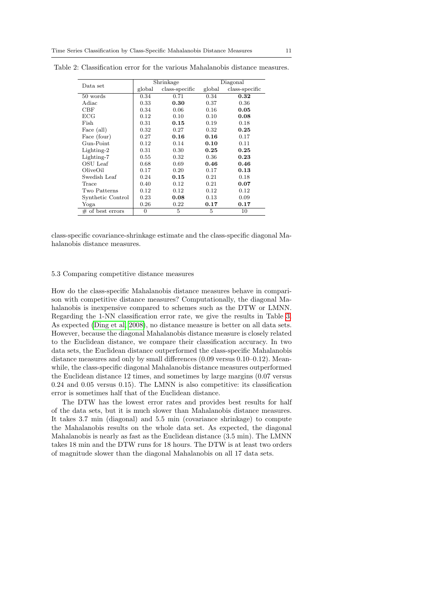| Data set           |                | Shrinkage      | Diagonal |                |  |
|--------------------|----------------|----------------|----------|----------------|--|
|                    | global         | class-specific | global   | class-specific |  |
| 50 words           | 0.34           | 0.71           | 0.34     | 0.32           |  |
| Adiac              | 0.33           | 0.30           | 0.37     | 0.36           |  |
| CBF                | 0.34           | 0.06           | 0.16     | 0.05           |  |
| ECG                | 0.12           | 0.10           | 0.10     | 0.08           |  |
| Fish               | 0.31           | 0.15           | 0.19     | 0.18           |  |
| Face (all)         | 0.32           | 0.27           | 0.32     | 0.25           |  |
| Face (four)        | 0.27           | 0.16           | 0.16     | 0.17           |  |
| Gun-Point          | 0.12           | 0.14           | 0.10     | 0.11           |  |
| Lighting-2         | 0.31           | 0.30           | 0.25     | 0.25           |  |
| Lighting-7         | 0.55           | 0.32           | 0.36     | 0.23           |  |
| OSU Leaf           | 0.68           | 0.69           | 0.46     | 0.46           |  |
| OliveOil           | 0.17           | 0.20           | 0.17     | 0.13           |  |
| Swedish Leaf       | 0.24           | 0.15           | 0.21     | 0.18           |  |
| Trace              | 0.40           | 0.12           | 0.21     | 0.07           |  |
| Two Patterns       | 0.12           | 0.12           | 0.12     | 0.12           |  |
| Synthetic Control  | 0.23           | 0.08           | 0.13     | 0.09           |  |
| Yoga               | 0.26           | 0.22           | 0.17     | $0.17\,$       |  |
| $#$ of best errors | $\overline{0}$ | 5              | 5        | 10             |  |

<span id="page-10-1"></span>Table 2: Classification error for the various Mahalanobis distance measures.

class-specific covariance-shrinkage estimate and the class-specific diagonal Mahalanobis distance measures.

# <span id="page-10-0"></span>5.3 Comparing competitive distance measures

How do the class-specific Mahalanobis distance measures behave in comparison with competitive distance measures? Computationally, the diagonal Mahalanobis is inexpensive compared to schemes such as the DTW or LMNN. Regarding the 1-NN classification error rate, we give the results in Table [3.](#page-11-1) As expected [\(Ding et al, 2008\)](#page-13-1), no distance measure is better on all data sets. However, because the diagonal Mahalanobis distance measure is closely related to the Euclidean distance, we compare their classification accuracy. In two data sets, the Euclidean distance outperformed the class-specific Mahalanobis distance measures and only by small differences (0.09 versus 0.10–0.12). Meanwhile, the class-specific diagonal Mahalanobis distance measures outperformed the Euclidean distance 12 times, and sometimes by large margins (0.07 versus 0.24 and 0.05 versus 0.15). The LMNN is also competitive: its classification error is sometimes half that of the Euclidean distance.

The DTW has the lowest error rates and provides best results for half of the data sets, but it is much slower than Mahalanobis distance measures. It takes 3.7 min (diagonal) and 5.5 min (covariance shrinkage) to compute the Mahalanobis results on the whole data set. As expected, the diagonal Mahalanobis is nearly as fast as the Euclidean distance (3.5 min). The LMNN takes 18 min and the DTW runs for 18 hours. The DTW is at least two orders of magnitude slower than the diagonal Mahalanobis on all 17 data sets.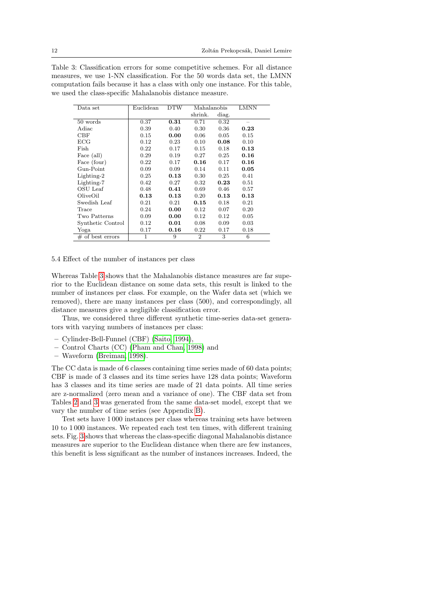<span id="page-11-1"></span>

| Table 3: Classification errors for some competitive schemes. For all distance    |
|----------------------------------------------------------------------------------|
| measures, we use 1-NN classification. For the 50 words data set, the LMNN        |
| computation fails because it has a class with only one instance. For this table, |
| we used the class-specific Mahalanobis distance measure.                         |

| Data set            | Euclidean | DTW  | Mahalanobis    |       | LMNN |
|---------------------|-----------|------|----------------|-------|------|
|                     |           |      | shrink.        | diag. |      |
| 50 words            | 0.37      | 0.31 | 0.71           | 0.32  |      |
| Adiac               | 0.39      | 0.40 | 0.30           | 0.36  | 0.23 |
| CBF                 | 0.15      | 0.00 | 0.06           | 0.05  | 0.15 |
| $_{\rm ECG}$        | 0.12      | 0.23 | 0.10           | 0.08  | 0.10 |
| Fish                | 0.22      | 0.17 | 0.15           | 0.18  | 0.13 |
| Face (all)          | 0.29      | 0.19 | 0.27           | 0.25  | 0.16 |
| Face (four)         | 0.22      | 0.17 | 0.16           | 0.17  | 0.16 |
| Gun-Point           | 0.09      | 0.09 | 0.14           | 0.11  | 0.05 |
| Lighting-2          | 0.25      | 0.13 | 0.30           | 0.25  | 0.41 |
| Lighting-7          | 0.42      | 0.27 | 0.32           | 0.23  | 0.51 |
| OSU Leaf            | 0.48      | 0.41 | 0.69           | 0.46  | 0.57 |
| OliveOil            | 0.13      | 0.13 | 0.20           | 0.13  | 0.13 |
| Swedish Leaf        | 0.21      | 0.21 | 0.15           | 0.18  | 0.21 |
| Trace               | 0.24      | 0.00 | 0.12           | 0.07  | 0.20 |
| Two Patterns        | 0.09      | 0.00 | 0.12           | 0.12  | 0.05 |
| Synthetic Control   | 0.12      | 0.01 | 0.08           | 0.09  | 0.03 |
| Yoga                | 0.17      | 0.16 | 0.22           | 0.17  | 0.18 |
| $\#$ of best errors | 1         | 9    | $\overline{2}$ | 3     | 6    |

#### <span id="page-11-0"></span>5.4 Effect of the number of instances per class

Whereas Table [3](#page-11-1) shows that the Mahalanobis distance measures are far superior to the Euclidean distance on some data sets, this result is linked to the number of instances per class. For example, on the Wafer data set (which we removed), there are many instances per class (500), and correspondingly, all distance measures give a negligible classification error.

Thus, we considered three different synthetic time-series data-set generators with varying numbers of instances per class:

- Cylinder-Bell-Funnel (CBF) [\(Saito, 1994\)](#page-14-13),
- Control Charts (CC) [\(Pham and Chan, 1998\)](#page-13-18) and
- Waveform [\(Breiman, 1998\)](#page-12-1).

The CC data is made of 6 classes containing time series made of 60 data points; CBF is made of 3 classes and its time series have 128 data points; Waveform has 3 classes and its time series are made of 21 data points. All time series are z-normalized (zero mean and a variance of one). The CBF data set from Tables [2](#page-10-1) and [3](#page-11-1) was generated from the same data-set model, except that we vary the number of time series (see Appendix [B\)](#page-15-1).

Test sets have 1 000 instances per class whereas training sets have between 10 to 1 000 instances. We repeated each test ten times, with different training sets. Fig. [3](#page-12-2) shows that whereas the class-specific diagonal Mahalanobis distance measures are superior to the Euclidean distance when there are few instances, this benefit is less significant as the number of instances increases. Indeed, the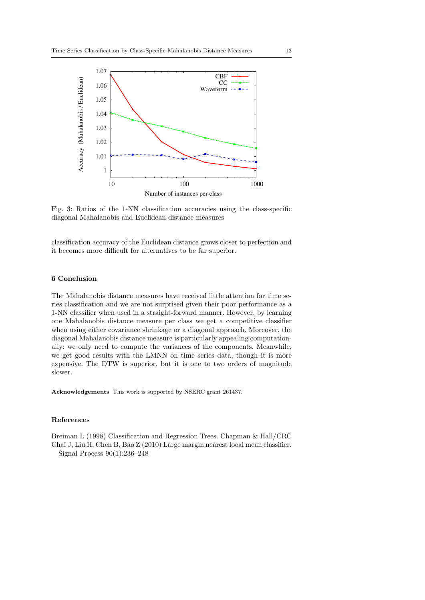<span id="page-12-2"></span>

Fig. 3: Ratios of the 1-NN classification accuracies using the class-specific diagonal Mahalanobis and Euclidean distance measures

classification accuracy of the Euclidean distance grows closer to perfection and it becomes more difficult for alternatives to be far superior.

# 6 Conclusion

The Mahalanobis distance measures have received little attention for time series classification and we are not surprised given their poor performance as a 1-NN classifier when used in a straight-forward manner. However, by learning one Mahalanobis distance measure per class we get a competitive classifier when using either covariance shrinkage or a diagonal approach. Moreover, the diagonal Mahalanobis distance measure is particularly appealing computationally: we only need to compute the variances of the components. Meanwhile, we get good results with the LMNN on time series data, though it is more expensive. The DTW is superior, but it is one to two orders of magnitude slower.

Acknowledgements This work is supported by NSERC grant 261437.

#### References

<span id="page-12-1"></span><span id="page-12-0"></span>Breiman L (1998) Classification and Regression Trees. Chapman & Hall/CRC Chai J, Liu H, Chen B, Bao Z (2010) Large margin nearest local mean classifier. Signal Process 90(1):236–248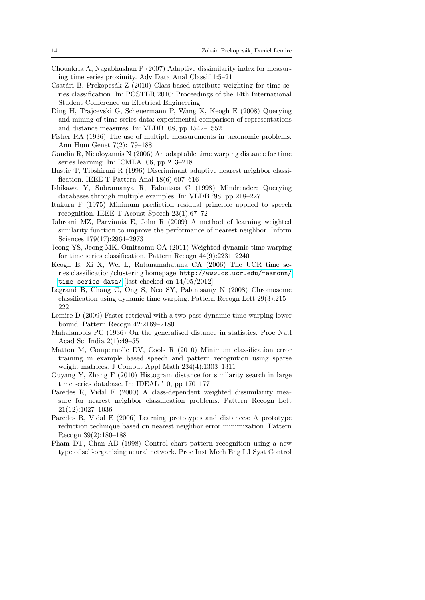- <span id="page-13-12"></span>Chouakria A, Nagabhushan P (2007) Adaptive dissimilarity index for measuring time series proximity. Adv Data Anal Classif 1:5–21
- <span id="page-13-2"></span>Csatári B, Prekopcsák Z (2010) Class-based attribute weighting for time series classification. In: POSTER 2010: Proceedings of the 14th International Student Conference on Electrical Engineering
- <span id="page-13-1"></span>Ding H, Trajcevski G, Scheuermann P, Wang X, Keogh E (2008) Querying and mining of time series data: experimental comparison of representations and distance measures. In: VLDB '08, pp 1542–1552
- <span id="page-13-8"></span>Fisher RA (1936) The use of multiple measurements in taxonomic problems. Ann Hum Genet 7(2):179–188
- <span id="page-13-10"></span>Gaudin R, Nicoloyannis N (2006) An adaptable time warping distance for time series learning. In: ICMLA '06, pp 213–218
- <span id="page-13-6"></span>Hastie T, Tibshirani R (1996) Discriminant adaptive nearest neighbor classification. IEEE T Pattern Anal 18(6):607–616
- <span id="page-13-5"></span>Ishikawa Y, Subramanya R, Faloutsos C (1998) Mindreader: Querying databases through multiple examples. In: VLDB '98, pp 218–227
- <span id="page-13-9"></span>Itakura F (1975) Minimum prediction residual principle applied to speech recognition. IEEE T Acoust Speech 23(1):67–72
- <span id="page-13-7"></span>Jahromi MZ, Parvinnia E, John R (2009) A method of learning weighted similarity function to improve the performance of nearest neighbor. Inform Sciences 179(17):2964–2973
- <span id="page-13-11"></span>Jeong YS, Jeong MK, Omitaomu OA (2011) Weighted dynamic time warping for time series classification. Pattern Recogn 44(9):2231–2240
- <span id="page-13-17"></span>Keogh E, Xi X, Wei L, Ratanamahatana CA (2006) The UCR time series classification/clustering homepage. [http://www.cs.ucr.edu/~eamonn/](http://www.cs.ucr.edu/~eamonn/time_series_data/) [time\\_series\\_data/](http://www.cs.ucr.edu/~eamonn/time_series_data/) [last checked on 14/05/2012]
- <span id="page-13-0"></span>Legrand B, Chang C, Ong S, Neo SY, Palanisamy N (2008) Chromosome classification using dynamic time warping. Pattern Recogn Lett 29(3):215 – 222
- <span id="page-13-13"></span>Lemire D (2009) Faster retrieval with a two-pass dynamic-time-warping lower bound. Pattern Recogn 42:2169–2180
- <span id="page-13-14"></span>Mahalanobis PC (1936) On the generalised distance in statistics. Proc Natl Acad Sci India 2(1):49–55
- <span id="page-13-15"></span>Matton M, Compernolle DV, Cools R (2010) Minimum classification error training in example based speech and pattern recognition using sparse weight matrices. J Comput Appl Math 234(4):1303–1311
- <span id="page-13-16"></span>Ouyang Y, Zhang F (2010) Histogram distance for similarity search in large time series database. In: IDEAL '10, pp 170–177
- <span id="page-13-3"></span>Paredes R, Vidal E (2000) A class-dependent weighted dissimilarity measure for nearest neighbor classification problems. Pattern Recogn Lett 21(12):1027–1036
- <span id="page-13-4"></span>Paredes R, Vidal E (2006) Learning prototypes and distances: A prototype reduction technique based on nearest neighbor error minimization. Pattern Recogn 39(2):180–188
- <span id="page-13-18"></span>Pham DT, Chan AB (1998) Control chart pattern recognition using a new type of self-organizing neural network. Proc Inst Mech Eng I J Syst Control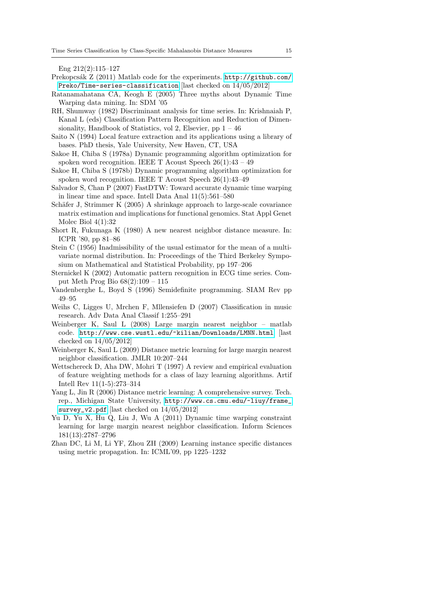Eng 212(2):115–127

- <span id="page-14-16"></span>Prekopcsák Z (2011) Matlab code for the experiments. [http://github.com/](http://github.com/Preko/Time-series-classification) [Preko/Time-series-classification](http://github.com/Preko/Time-series-classification) [last checked on 14/05/2012]
- <span id="page-14-10"></span>Ratanamahatana CA, Keogh E (2005) Three myths about Dynamic Time Warping data mining. In: SDM '05
- <span id="page-14-8"></span>RH, Shumway (1982) Discriminant analysis for time series. In: Krishnaiah P, Kanal L (eds) Classification Pattern Recognition and Reduction of Dimensionality, Handbook of Statistics, vol 2, Elsevier, pp  $1 - 46$
- <span id="page-14-13"></span>Saito N (1994) Local feature extraction and its applications using a library of bases. PhD thesis, Yale University, New Haven, CT, USA
- <span id="page-14-2"></span>Sakoe H, Chiba S (1978a) Dynamic programming algorithm optimization for spoken word recognition. IEEE T Acoust Speech  $26(1):43 - 49$
- <span id="page-14-9"></span>Sakoe H, Chiba S (1978b) Dynamic programming algorithm optimization for spoken word recognition. IEEE T Acoust Speech 26(1):43–49
- <span id="page-14-18"></span>Salvador S, Chan P (2007) FastDTW: Toward accurate dynamic time warping in linear time and space. Intell Data Anal 11(5):561–580
- <span id="page-14-15"></span>Schäfer J, Strimmer K (2005) A shrinkage approach to large-scale covariance matrix estimation and implications for functional genomics. Stat Appl Genet Molec Biol  $4(1):32$
- <span id="page-14-5"></span>Short R, Fukunaga K (1980) A new nearest neighbor distance measure. In: ICPR '80, pp 81–86
- <span id="page-14-14"></span>Stein C (1956) Inadmissibility of the usual estimator for the mean of a multivariate normal distribution. In: Proceedings of the Third Berkeley Symposium on Mathematical and Statistical Probability, pp 197–206
- <span id="page-14-1"></span>Sternickel K (2002) Automatic pattern recognition in ECG time series. Comput Meth Prog Bio 68(2):109 – 115
- <span id="page-14-12"></span>Vandenberghe L, Boyd S (1996) Semidefinite programming. SIAM Rev pp 49–95
- <span id="page-14-0"></span>Weihs C, Ligges U, Mrchen F, Mllensiefen D (2007) Classification in music research. Adv Data Anal Classif 1:255–291
- <span id="page-14-17"></span>Weinberger K, Saul L (2008) Large margin nearest neighbor – matlab code. <http://www.cse.wustl.edu/~kilian/Downloads/LMNN.html> [last checked on 14/05/2012]
- <span id="page-14-3"></span>Weinberger K, Saul L (2009) Distance metric learning for large margin nearest neighbor classification. JMLR 10:207–244
- <span id="page-14-6"></span>Wettschereck D, Aha DW, Mohri T (1997) A review and empirical evaluation of feature weighting methods for a class of lazy learning algorithms. Artif Intell Rev 11(1-5):273–314
- <span id="page-14-4"></span>Yang L, Jin R (2006) Distance metric learning: A comprehensive survey. Tech. rep., Michigan State University, [http://www.cs.cmu.edu/~liuy/frame\\_](http://www.cs.cmu.edu/~liuy/frame_survey_v2.pdf) [survey\\_v2.pdf](http://www.cs.cmu.edu/~liuy/frame_survey_v2.pdf) [last checked on 14/05/2012]
- <span id="page-14-11"></span>Yu D, Yu X, Hu Q, Liu J, Wu A (2011) Dynamic time warping constraint learning for large margin nearest neighbor classification. Inform Sciences 181(13):2787–2796
- <span id="page-14-7"></span>Zhan DC, Li M, Li YF, Zhou ZH (2009) Learning instance specific distances using metric propagation. In: ICML'09, pp 1225–1232